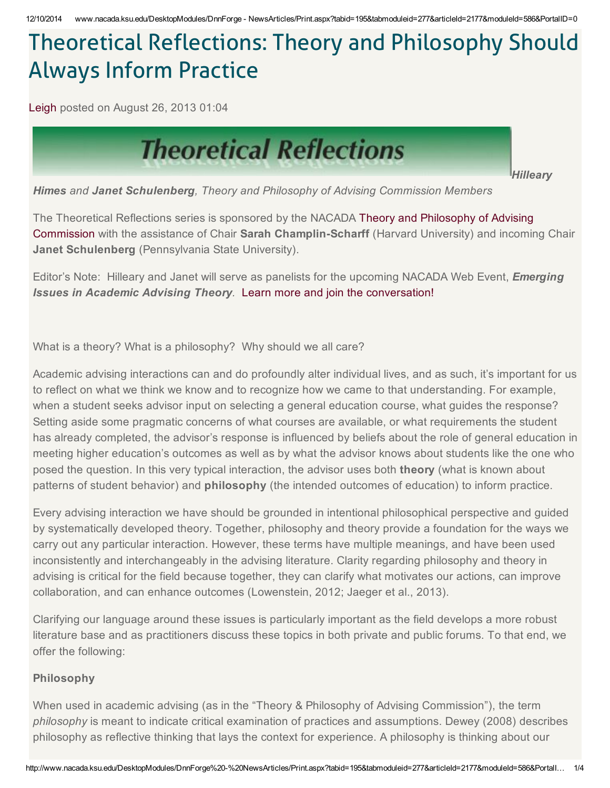# Theoretical Reflections: Theory and Philosophy Should Always Inform Practice

[Leigh](http://www.nacada.ksu.edu/Resources/Academic-Advising-Today/View-Articles/LeighC.aspx) posted on August 26, 2013 01:04



*Hilleary*

*Himes and Janet Schulenberg, Theory and Philosophy of Advising Commission Members*

The Theoretical Reflections series is sponsored by the NACADA Theory and Philosophy of Advising Commission with the assistance of Chair Sarah Champlin-Scharff (Harvard University) and incoming Chair **Janet Schulenberg** (Pennsylvania State University).

Editor's Note: Hilleary and Janet will serve as panelists for the upcoming NACADA Web Event, *Emerging Issues in Academic Advising Theory.* Learn more and join the [conversation!](http://www.nacada.ksu.edu/Events-Programs/Events/Web-Events/Web-Events-Coming/Web-Event-Sept-2013.aspx)

What is a theory? What is a philosophy? Why should we all care?

Academic advising interactions can and do profoundly alter individual lives, and as such, it's important for us to reflect on what we think we know and to recognize how we came to that understanding. For example, when a student seeks advisor input on selecting a general education course, what guides the response? Setting aside some pragmatic concerns of what courses are available, or what requirements the student has already completed, the advisor's response is influenced by beliefs about the role of general education in meeting higher education's outcomes as well as by what the advisor knows about students like the one who posed the question. In this very typical interaction, the advisor uses both theory (what is known about patterns of student behavior) and **philosophy** (the intended outcomes of education) to inform practice.

Every advising interaction we have should be grounded in intentional philosophical perspective and guided by systematically developed theory. Together, philosophy and theory provide a foundation for the ways we carry out any particular interaction. However, these terms have multiple meanings, and have been used inconsistently and interchangeably in the advising literature. Clarity regarding philosophy and theory in advising is critical for the field because together, they can clarify what motivates our actions, can improve collaboration, and can enhance outcomes (Lowenstein, 2012; Jaeger et al., 2013).

Clarifying our language around these issues is particularly important as the field develops a more robust literature base and as practitioners discuss these topics in both private and public forums. To that end, we offer the following:

### Philosophy

When used in academic advising (as in the "Theory & Philosophy of Advising Commission"), the term *philosophy* is meant to indicate critical examination of practices and assumptions. Dewey (2008) describes philosophy as reflective thinking that lays the context for experience. A philosophy is thinking about our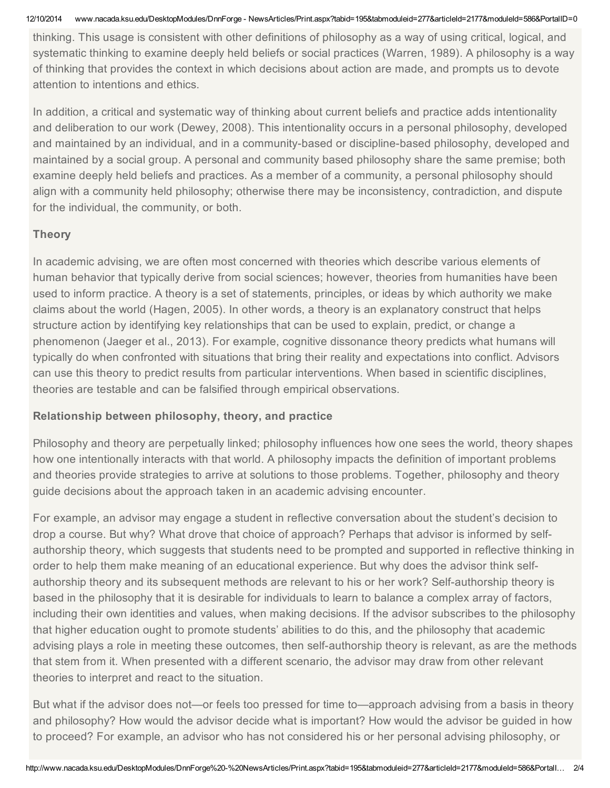12/10/2014 www.nacada.ksu.edu/DesktopModules/DnnForge - NewsArticles/Print.aspx?tabid=195&tabmoduleid=277&articleId=2177&moduleId=586&PortalID=0

thinking. This usage is consistent with other definitions of philosophy as a way of using critical, logical, and systematic thinking to examine deeply held beliefs or social practices (Warren, 1989). A philosophy is a way of thinking that provides the context in which decisions about action are made, and prompts us to devote attention to intentions and ethics.

In addition, a critical and systematic way of thinking about current beliefs and practice adds intentionality and deliberation to our work (Dewey, 2008). This intentionality occurs in a personal philosophy, developed and maintained by an individual, and in a community-based or discipline-based philosophy, developed and maintained by a social group. A personal and community based philosophy share the same premise; both examine deeply held beliefs and practices. As a member of a community, a personal philosophy should align with a community held philosophy; otherwise there may be inconsistency, contradiction, and dispute for the individual, the community, or both.

## **Theory**

In academic advising, we are often most concerned with theories which describe various elements of human behavior that typically derive from social sciences; however, theories from humanities have been used to inform practice. A theory is a set of statements, principles, or ideas by which authority we make claims about the world (Hagen, 2005). In other words, a theory is an explanatory construct that helps structure action by identifying key relationships that can be used to explain, predict, or change a phenomenon (Jaeger et al., 2013). For example, cognitive dissonance theory predicts what humans will typically do when confronted with situations that bring their reality and expectations into conflict. Advisors can use this theory to predict results from particular interventions. When based in scientific disciplines, theories are testable and can be falsified through empirical observations.

# Relationship between philosophy, theory, and practice

Philosophy and theory are perpetually linked; philosophy influences how one sees the world, theory shapes how one intentionally interacts with that world. A philosophy impacts the definition of important problems and theories provide strategies to arrive at solutions to those problems. Together, philosophy and theory guide decisions about the approach taken in an academic advising encounter.

For example, an advisor may engage a student in reflective conversation about the student's decision to drop a course. But why? What drove that choice of approach? Perhaps that advisor is informed by selfauthorship theory, which suggests that students need to be prompted and supported in reflective thinking in order to help them make meaning of an educational experience. But why does the advisor think selfauthorship theory and its subsequent methods are relevant to his or her work? Self-authorship theory is based in the philosophy that it is desirable for individuals to learn to balance a complex array of factors, including their own identities and values, when making decisions. If the advisor subscribes to the philosophy that higher education ought to promote students' abilities to do this, and the philosophy that academic advising plays a role in meeting these outcomes, then self-authorship theory is relevant, as are the methods that stem from it. When presented with a different scenario, the advisor may draw from other relevant theories to interpret and react to the situation.

But what if the advisor does not—or feels too pressed for time to—approach advising from a basis in theory and philosophy? How would the advisor decide what is important? How would the advisor be guided in how to proceed? For example, an advisor who has not considered his or her personal advising philosophy, or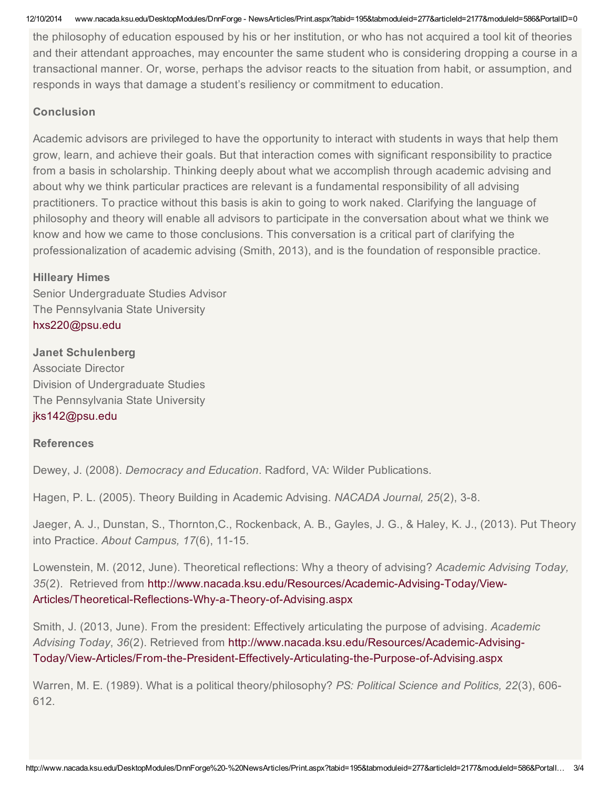12/10/2014 www.nacada.ksu.edu/DesktopModules/DnnForge - NewsArticles/Print.aspx?tabid=195&tabmoduleid=277&articleId=2177&moduleId=586&PortalID=0

the philosophy of education espoused by his or her institution, or who has not acquired a tool kit of theories and their attendant approaches, may encounter the same student who is considering dropping a course in a transactional manner. Or, worse, perhaps the advisor reacts to the situation from habit, or assumption, and responds in ways that damage a student's resiliency or commitment to education.

#### **Conclusion**

Academic advisors are privileged to have the opportunity to interact with students in ways that help them grow, learn, and achieve their goals. But that interaction comes with significant responsibility to practice from a basis in scholarship. Thinking deeply about what we accomplish through academic advising and about why we think particular practices are relevant is a fundamental responsibility of all advising practitioners. To practice without this basis is akin to going to work naked. Clarifying the language of philosophy and theory will enable all advisors to participate in the conversation about what we think we know and how we came to those conclusions. This conversation is a critical part of clarifying the professionalization of academic advising (Smith, 2013), and is the foundation of responsible practice.

### Hilleary Himes

Senior Undergraduate Studies Advisor The Pennsylvania State University [hxs220@psu.edu](mailto:hxs220@psu.edu)

Janet Schulenberg Associate Director Division of Undergraduate Studies The Pennsylvania State University [jks142@psu.edu](mailto:jks142@psu.edu)

### **References**

Dewey, J. (2008). *Democracy and Education*. Radford, VA: Wilder Publications.

Hagen, P. L. (2005). Theory Building in Academic Advising. *NACADA Journal, 25*(2), 3-8.

Jaeger, A. J., Dunstan, S., Thornton,C., Rockenback, A. B., Gayles, J. G., & Haley, K. J., (2013). Put Theory into Practice. About Campus, 17(6), 11-15.

Lowenstein, M. (2012, June). Theoretical reflections: Why a theory of advising? *Academic Advising Today,* 35(2). Retrieved from http://www.nacada.ksu.edu/Resources/Academic-Advising-Today/View-Articles/Theoretical-Reflections-Why-a-Theory-of-Advising.aspx

Smith, J. (2013, June). From the president: Effectively articulating the purpose of advising. *Academic Advising Today*, *36*(2). Retrieved from http://www.nacada.ksu.edu/Resources/AcademicAdvising-Today/View-Articles/From-the-President-Effectively-Articulating-the-Purpose-of-Advising.aspx

Warren, M. E. (1989). What is a political theory/philosophy? *PS: Political Science and Politics, 22*(3), 606 612.